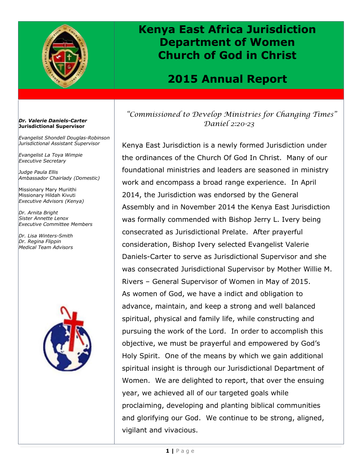

## **Kenya East Africa Jurisdiction Department of Women Church of God in Christ**

### **2015 Annual Report**

### *"Commissioned to Develop Ministries for Changing Times" Daniel 2:20-23*

Kenya East Jurisdiction is a newly formed Jurisdiction under the ordinances of the Church Of God In Christ. Many of our foundational ministries and leaders are seasoned in ministry work and encompass a broad range experience. In April 2014, the Jurisdiction was endorsed by the General Assembly and in November 2014 the Kenya East Jurisdiction was formally commended with Bishop Jerry L. Ivery being consecrated as Jurisdictional Prelate. After prayerful consideration, Bishop Ivery selected Evangelist Valerie Daniels-Carter to serve as Jurisdictional Supervisor and she was consecrated Jurisdictional Supervisor by Mother Willie M. Rivers – General Supervisor of Women in May of 2015. As women of God, we have a indict and obligation to advance, maintain, and keep a strong and well balanced spiritual, physical and family life, while constructing and pursuing the work of the Lord. In order to accomplish this objective, we must be prayerful and empowered by God's Holy Spirit. One of the means by which we gain additional spiritual insight is through our Jurisdictional Department of Women. We are delighted to report, that over the ensuing year, we achieved all of our targeted goals while proclaiming, developing and planting biblical communities and glorifying our God. We continue to be strong, aligned, vigilant and vivacious.

#### *Dr. Valerie Daniels-Carter* **Jurisdictional Supervisor**

*Evangelist Shondell Douglas-Robinson Jurisdictional Assistant Supervisor*

*Evangelist La Toya Wimpie Executive Secretary*

*Judge Paula Ellis Ambassador Chairlady (Domestic)*

Missionary Mary Muriithi Missionary Hildah Kivuti *Executive Advisors (Kenya)*

*Dr. Arnita Bright Sister Annette Lenox Executive Committee Members*

*Dr. Lisa Winters-Smith Dr. Regina Flippin Medical Team Advisors*

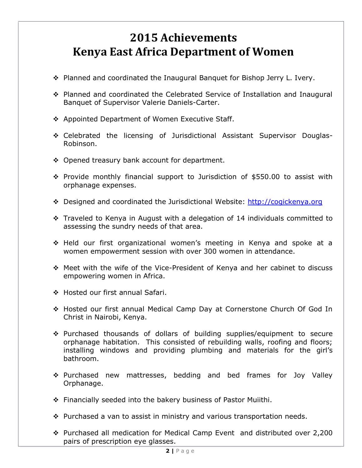# **2015 Achievements Kenya East Africa Department of Women**

- ◆ Planned and coordinated the Inaugural Banguet for Bishop Jerry L. Ivery.
- Planned and coordinated the Celebrated Service of Installation and Inaugural Banquet of Supervisor Valerie Daniels-Carter.
- ❖ Appointed Department of Women Executive Staff.
- Celebrated the licensing of Jurisdictional Assistant Supervisor Douglas-Robinson.
- ◆ Opened treasury bank account for department.
- $\div$  Provide monthly financial support to Jurisdiction of \$550.00 to assist with orphanage expenses.
- Designed and coordinated the Jurisdictional Website: http://cogickenya.org
- Traveled to Kenya in August with a delegation of 14 individuals committed to assessing the sundry needs of that area.
- Held our first organizational women's meeting in Kenya and spoke at a women empowerment session with over 300 women in attendance.
- Meet with the wife of the Vice-President of Kenya and her cabinet to discuss empowering women in Africa.
- ◆ Hosted our first annual Safari.
- Hosted our first annual Medical Camp Day at Cornerstone Church Of God In Christ in Nairobi, Kenya.
- Purchased thousands of dollars of building supplies/equipment to secure orphanage habitation. This consisted of rebuilding walls, roofing and floors; installing windows and providing plumbing and materials for the girl's bathroom.
- Purchased new mattresses, bedding and bed frames for Joy Valley Orphanage.
- Financially seeded into the bakery business of Pastor Muiithi.
- ❖ Purchased a van to assist in ministry and various transportation needs.
- Purchased all medication for Medical Camp Event and distributed over 2,200 pairs of prescription eye glasses.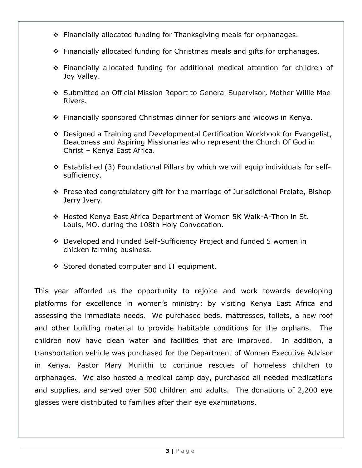- Financially allocated funding for Thanksgiving meals for orphanages.
- Financially allocated funding for Christmas meals and gifts for orphanages.
- Financially allocated funding for additional medical attention for children of Joy Valley.
- Submitted an Official Mission Report to General Supervisor, Mother Willie Mae Rivers.
- Financially sponsored Christmas dinner for seniors and widows in Kenya.
- Designed a Training and Developmental Certification Workbook for Evangelist, Deaconess and Aspiring Missionaries who represent the Church Of God in Christ – Kenya East Africa.
- Established (3) Foundational Pillars by which we will equip individuals for selfsufficiency.
- Presented congratulatory gift for the marriage of Jurisdictional Prelate, Bishop Jerry Ivery.
- Hosted Kenya East Africa Department of Women 5K Walk-A-Thon in St. Louis, MO. during the 108th Holy Convocation.
- Developed and Funded Self-Sufficiency Project and funded 5 women in chicken farming business.
- Stored donated computer and IT equipment.

This year afforded us the opportunity to rejoice and work towards developing platforms for excellence in women's ministry; by visiting Kenya East Africa and assessing the immediate needs. We purchased beds, mattresses, toilets, a new roof and other building material to provide habitable conditions for the orphans. The children now have clean water and facilities that are improved. In addition, a transportation vehicle was purchased for the Department of Women Executive Advisor in Kenya, Pastor Mary Muriithi to continue rescues of homeless children to orphanages. We also hosted a medical camp day, purchased all needed medications and supplies, and served over 500 children and adults. The donations of 2,200 eye glasses were distributed to families after their eye examinations.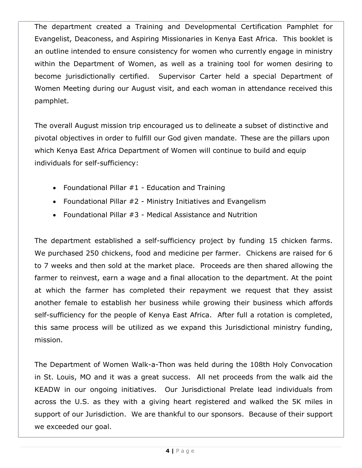The department created a Training and Developmental Certification Pamphlet for Evangelist, Deaconess, and Aspiring Missionaries in Kenya East Africa. This booklet is an outline intended to ensure consistency for women who currently engage in ministry within the Department of Women, as well as a training tool for women desiring to become jurisdictionally certified. Supervisor Carter held a special Department of Women Meeting during our August visit, and each woman in attendance received this pamphlet.

The overall August mission trip encouraged us to delineate a subset of distinctive and pivotal objectives in order to fulfill our God given mandate. These are the pillars upon which Kenya East Africa Department of Women will continue to build and equip individuals for self-sufficiency:

- Foundational Pillar  $#1$  Education and Training
- Foundational Pillar #2 Ministry Initiatives and Evangelism
- Foundational Pillar #3 Medical Assistance and Nutrition

The department established a self-sufficiency project by funding 15 chicken farms. We purchased 250 chickens, food and medicine per farmer. Chickens are raised for 6 to 7 weeks and then sold at the market place. Proceeds are then shared allowing the farmer to reinvest, earn a wage and a final allocation to the department. At the point at which the farmer has completed their repayment we request that they assist another female to establish her business while growing their business which affords self-sufficiency for the people of Kenya East Africa. After full a rotation is completed, this same process will be utilized as we expand this Jurisdictional ministry funding, mission.

The Department of Women Walk-a-Thon was held during the 108th Holy Convocation in St. Louis, MO and it was a great success. All net proceeds from the walk aid the KEADW in our ongoing initiatives. Our Jurisdictional Prelate lead individuals from across the U.S. as they with a giving heart registered and walked the 5K miles in support of our Jurisdiction. We are thankful to our sponsors. Because of their support we exceeded our goal.